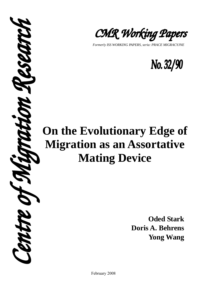

*Formerly ISS WORKING PAPERS, seria: PRACE MIGRACYJNE* 



# **On the Evolutionary Edge of Migration as an Assortative Mating Device**

**P.S.P.D.T.** 

**Oded Stark Doris A. Behrens Yong Wang** 

February 2008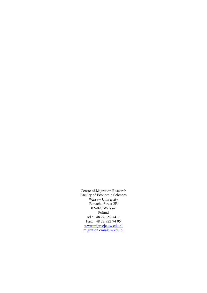Centre of Migration Research Faculty of Economic Sciences Warsaw University Banacha Street 2B 02–097 Warsaw Poland Tel.: +48 22 659 74 11 Fax: +48 22 822 74 05 www.migracje.uw.edu.pl migration.cmr@uw.edu.pl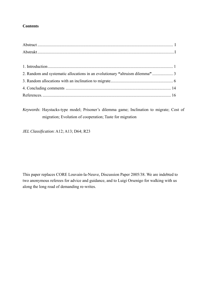## **Contents**

| 2. Random and systematic allocations in an evolutionary "altruism dilemma" 3 |  |
|------------------------------------------------------------------------------|--|
|                                                                              |  |
|                                                                              |  |
|                                                                              |  |

*Keywords*: Haystacks-type model; Prisoner's dilemma game; Inclination to migrate; Cost of migration; Evolution of cooperation; Taste for migration

*JEL Classification*: A12; A13; D64; R23

This paper replaces CORE Louvain-la-Neuve, Discussion Paper 2005/38. We are indebted to two anonymous referees for advice and guidance, and to Luigi Orsenigo for walking with us along the long road of demanding re-writes.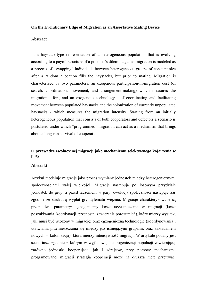#### **On the Evolutionary Edge of Migration as an Assortative Mating Device**

#### **Abstract**

In a haystack-type representation of a heterogeneous population that is evolving according to a payoff structure of a prisoner's dilemma game, migration is modeled as a process of "swapping" individuals between heterogeneous groups of constant size after a random allocation fills the haystacks, but prior to mating. Migration is characterized by two parameters: an exogenous participation-in-migration cost (of search, coordination, movement, and arrangement-making) which measures the migration effort, and an exogenous technology **-** of coordinating and facilitating movement between populated haystacks and the colonization of currently unpopulated haystacks - which measures the migration intensity. Starting from an initially heterogeneous population that consists of both cooperators and defectors a scenario is postulated under which "programmed" migration can act as a mechanism that brings about a long-run survival of cooperation.

# **O przewadze ewolucyjnej migracji jako mechanizmu selektywnego kojarzenia w pary**

#### **Abstrakt**

Artykuł modeluje migracje jako proces wymiany jednostek między heterogenicznymi społecznościami stałej wielkości. Migracje następują po losowym przydziale jednostek do grup, a przed łączeniem w pary; ewolucja społeczności następuje zaś zgodnie ze strukturą wypłat gry dylematu więźnia. Migracje charakteryzowane są przez dwa parametry: egzogeniczny koszt uczestniczenia w migracji (koszt poszukiwania, koordynacji, przenosin, zawierania porozumień), który mierzy wysiłek, jaki musi być włożony w migrację; oraz egzogeniczną technologię (koordynowania i ułatwiania przemieszczania się między już istniejącymi grupami, oraz zakładaniem nowych -- kolonizacją), która mierzy intensywność migracji. W artykule podany jest scenariusz, zgodnie z którym w wyjściowej heterogenicznej populacji zawierającej zarówno jednostki kooperujące, jak i zdrajców, przy pomocy mechanizmu programowanej migracji strategia kooperacji może na dłuższą metę przetrwać.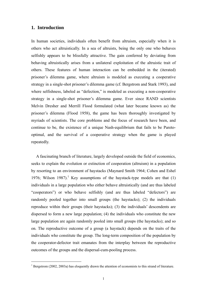## **1. Introduction**

 $\overline{a}$ 

In human societies, individuals often benefit from altruism, especially when it is others who act altruistically. In a sea of altruists, being the only one who behaves selfishly appears to be blissfully attractive. The gain conferred by deviating from behaving altruistically arises from a unilateral exploitation of the altruistic trait of others. These features of human interaction can be embedded in the (iterated) prisoner's dilemma game, where altruism is modeled as executing a cooperative strategy in a single-shot prisoner's dilemma game (cf. Bergstrom and Stark 1993), and where selfishness, labeled as "defection," is modeled as executing a non-cooperative strategy in a single-shot prisoner's dilemma game. Ever since RAND scientists Melvin Dresher and Merrill Flood formulated (what later became known as) the prisoner's dilemma (Flood 1958), the game has been thoroughly investigated by myriads of scientists. The core problems and the focus of research have been, and continue to be, the existence of a unique Nash-equilibrium that fails to be Paretooptimal, and the survival of a cooperative strategy when the game is played repeatedly.

A fascinating branch of literature, largely developed outside the field of economics, seeks to explain the evolution or extinction of cooperation (altruism) in a population by resorting to an environment of haystacks (Maynard Smith 1964; Cohen and Eshel 1976; Wilson 1987).<sup>1</sup> Key assumptions of the haystack-type models are that  $(1)$ individuals in a large population who either behave altruistically (and are thus labeled "cooperators") or who behave selfishly (and are thus labeled "defectors") are randomly pooled together into small groups (the haystacks); (2) the individuals reproduce within their groups (their haystacks); (3) the individuals' descendents are dispersed to form a new large population; (4) the individuals who constitute the new large population are again randomly pooled into small groups (the haystacks); and so on. The reproductive outcome of a group (a haystack) depends on the traits of the individuals who constitute the group. The long-term composition of the population by the cooperator-defector trait emanates from the interplay between the reproductive outcomes of the groups and the dispersal-cum-pooling process.

<sup>&</sup>lt;sup>1</sup> Bergstrom (2002, 2003a) has eloquently drawn the attention of economists to this strand of literature.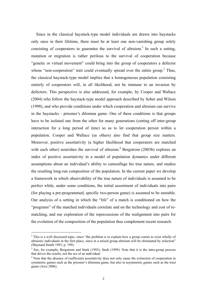Since in the classical haystack-type model individuals are drawn into haystacks only once in their lifetime, there must be at least one non-vanishing group solely consisting of cooperators to guarantee the survival of altruism.<sup>2</sup> In such a setting, mutation or migration is rather perilous to the survival of cooperation because "genetic or virtual movement" could bring into the group of cooperators a defector whose "non-cooperation" trait could eventually spread over the entire group.<sup>3</sup> Thus, the classical haystack-type model implies that a homogeneous population consisting entirely of cooperators will, in all likelihood, not be immune to an invasion by defectors. This perspective is also addressed, for example, by Cooper and Wallace (2004) who follow the haystack-type model approach described by Sober and Wilson (1998), and who provide conditions under which cooperation and altruism can survive in the haystacks - prisoner's dilemma game. One of these conditions is that groups have to be isolated one from the other for many generations (cutting off inter-group interaction for a long period of time) so as to let cooperation persist within a population. Cooper and Wallace (as others) also find that group size matters. Moreover, positive assortativity (a higher likelihood that cooperators are matched with each other) nourishes the survival of altruism.<sup>4</sup> Bergstrom (2003b) explores an index of positive assortativity in a model of population dynamics under different assumptions about an individual's ability to camouflage his true nature, and studies the resulting long-run composition of the population. In the current paper we develop a framework in which observability of the true nature of individuals is assumed to be perfect while, under some conditions, the initial assortment of individuals into pairs (for playing a pre-programmed, specific two-person game) is assumed to be unstable. Our analysis of a setting in which the "life" of a match is conditioned on how the "programs" of the matched individuals correlate and on the technology and cost of rematching, and our exploration of the repercussions of the realignment into pairs for the evolution of the composition of the population thus complement recent research.

 $2$  This is a well discussed topic, since "the problem is to explain how a group comes to exist wholly of altruistic individuals in the first place, since in a mixed group altruism will be eliminated by selection" (Maynard Smith 1993, p. 199).

<sup>&</sup>lt;sup>3</sup> See, for example, Bergstrom and Stark (1993), Stark (1999). Note that it is the intra-group process that drives the results, not the act of an individual.

<sup>&</sup>lt;sup>4</sup> Note that the absence of (sufficient) assortativity does not only cause the extinction of cooperation in symmetric games such as the prisoner's dilemma game, but also in asymmetric games such as the trust game (Arce 2006).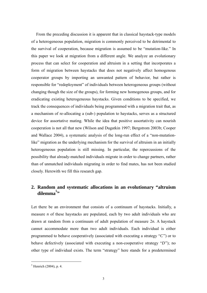From the preceding discussion it is apparent that in classical haystack-type models of a heterogeneous population, migration is commonly perceived to be detrimental to the survival of cooperation, because migration is assumed to be "mutation-like." In this paper we look at migration from a different angle. We analyze an evolutionary process that can select for cooperation and altruism in a setting that incorporates a form of migration between haystacks that does not negatively affect homogenous cooperator groups by importing an unwanted pattern of behavior, but rather is responsible for "redeployment" of individuals between heterogeneous groups (without changing though the size of the groups), for forming new homogenous groups, and for eradicating existing heterogeneous haystacks. Given conditions to be specified, we track the consequences of individuals being programmed with a migration trait that, as a mechanism of re-allocating a (sub-) population to haystacks, serves as a structured device for assortative mating. While the idea that positive assortativity can nourish cooperation is not all that new (Wilson and Dugatkin 1997; Bergstrom 2003b; Cooper and Wallace 2004), a systematic analysis of the long-run effect of a "non-mutationlike" migration as the underlying mechanism for the survival of altruism in an initially heterogeneous population is still missing. In particular, the repercussions of the possibility that already-matched individuals migrate in order to change partners, rather than of unmatched individuals migrating in order to find mates, has not been studied closely. Herewith we fill this research gap.

# **2. Random and systematic allocations in an evolutionary "altruism dilemma<sup>5</sup> "**

Let there be an environment that consists of a continuum of haystacks. Initially, a measure *n* of these haystacks are populated, each by two adult individuals who are drawn at random from a continuum of adult population of measure 2*n*. A haystack cannot accommodate more than two adult individuals. Each individual is either programmed to behave cooperatively (associated with executing a strategy "*C*") or to behave defectively (associated with executing a non-cooperative strategy "*D*"); no other type of individual exists. The term "strategy" here stands for a predetermined

 $<sup>5</sup>$  Henrich (2004), p. 4.</sup>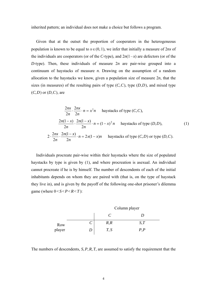inherited pattern; an individual does not make a choice but follows a program.

Given that at the outset the proportion of cooperators in the heterogeneous population is known to be equal to  $x \in (0, 1)$ , we infer that initially a measure of 2*nx* of the individuals are cooperators (or of the *C*-type), and  $2n(1-x)$  are defectors (or of the *D*-type). Then, these individuals of measure 2*n* are pair-wise grouped into a continuum of haystacks of measure *n*. Drawing on the assumption of a random allocation to the haystacks we know, given a population size of measure 2*n*, that the sizes (in measures) of the resulting pairs of type  $(C, C)$ , type  $(D, D)$ , and mixed type (*C*,*D*) or (*D*,*C*), are

$$
\frac{2nx}{2n} \cdot \frac{2nx}{2n} \cdot n = x^2 n
$$
haystacks of type  $(C, C)$ ,  

$$
\frac{2n(1-x)}{2n} \cdot \frac{2n(1-x)}{2n} \cdot n = (1-x)^2 n
$$
haystacks of type  $(D, D)$ ,  

$$
2 \cdot \frac{2nx}{2n} \cdot \frac{2n(1-x)}{2n} \cdot n = 2x(1-x)n
$$
haystacks of type  $(C, D)$  or type  $(D, C)$ .

Individuals procreate pair-wise within their haystacks where the size of populated haystacks by type is given by (1), and where procreation is asexual. An individual cannot procreate if he is by himself. The number of descendents of each of the initial inhabitants depends on whom they are paired with (that is, on the type of haystack they live in), and is given by the payoff of the following one-shot prisoner's dilemma game (where  $0 < S < P < R < T$ ):



The numbers of descendents, *S*,*P*,*R*, *T*, are assumed to satisfy the requirement that the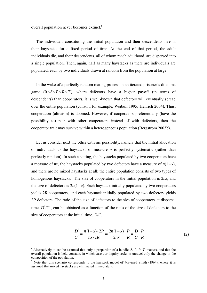overall population never becomes extinct.<sup>6</sup>

The individuals constituting the initial population and their descendents live in their haystacks for a fixed period of time. At the end of that period, the adult individuals die, and their descendents, all of whom reach adulthood, are dispersed into a single population. Then, again, half as many haystacks as there are individuals are populated, each by two individuals drawn at random from the population at large.

In the wake of a perfectly random mating process in an iterated prisoner's dilemma game  $(0 < S < P < R < T)$ , where defectors have a higher payoff (in terms of descendents) than cooperators, it is well-known that defectors will eventually spread over the entire population (consult, for example, Weibull 1995; Henrich 2004). Thus, cooperation (altruism) is doomed. However, if cooperators preferentially (have the possibility to) pair with other cooperators instead of with defectors, then the cooperator trait may survive within a heterogeneous population (Bergstrom 2003b).

Let us consider next the other extreme possibility, namely that the initial allocation of individuals to the haystacks of measure *n* is perfectly systematic (rather than perfectly random). In such a setting, the haystacks populated by two cooperators have a measure of *nx*, the haystacks populated by two defectors have a measure of  $n(1-x)$ , and there are no mixed haystacks at all; the entire population consists of two types of homogenous haystacks.<sup>7</sup> The size of cooperators in the initial population is 2*nx*, and the size of defectors is  $2n(1-x)$ . Each haystack initially populated by two cooperators yields 2*R* cooperators, and each haystack initially populated by two defectors yields 2*P* defectors. The ratio of the size of defectors to the size of cooperators at dispersal time,  $D'/C'$ , can be obtained as a function of the ratio of the size of defectors to the size of cooperators at the initial time, *D*/*C*,

$$
\frac{D'}{C'} = \frac{n(1-x) \cdot 2P}{nx \cdot 2R} = \frac{2n(1-x)}{2nx} \cdot \frac{P}{R} = \frac{D}{C} \cdot \frac{P}{R} \tag{2}
$$

<sup>6</sup> Alternatively, it can be assumed that only a proportion of a bundle, *S*, *P*, *R*, *T*, matters, and that the overall population is held constant, in which case our inquiry seeks to unravel only the change in the composition of the population.

<sup>&</sup>lt;sup>7</sup> Note that this scenario corresponds to the haystack model of Maynard Smith (1964), where it is assumed that mixed haystacks are eliminated immediately.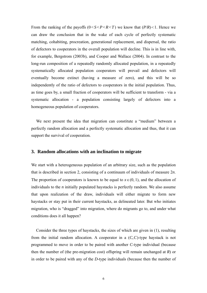From the ranking of the payoffs  $(0 < S < P < R < T)$  we know that  $(P/R) < 1$ . Hence we can draw the conclusion that in the wake of each cycle of perfectly systematic matching, cohabiting, procreation, generational replacement, and dispersal, the ratio of defectors to cooperators in the overall population will decline. This is in line with, for example, Bergstrom (2003b), and Cooper and Wallace (2004). In contrast to the long-run composition of a repeatedly randomly allocated population, in a repeatedly systematically allocated population cooperators will prevail and defectors will eventually become extinct (having a measure of zero), and this will be so independently of the ratio of defectors to cooperators in the initial population. Thus, as time goes by, a small fraction of cooperators will be sufficient to transform - via a systematic allocation - a population consisting largely of defectors into a homogeneous population of cooperators.

We next present the idea that migration can constitute a "medium" between a perfectly random allocation and a perfectly systematic allocation and thus, that it can support the survival of cooperation.

## **3. Random allocations with an inclination to migrate**

We start with a heterogeneous population of an arbitrary size, such as the population that is described in section 2, consisting of a continuum of individuals of measure 2*n*. The proportion of cooperators is known to be equal to  $x \in (0, 1)$ , and the allocation of individuals to the *n* initially populated haystacks is perfectly random. We also assume that upon realization of the draw, individuals will either migrate to form new haystacks or stay put in their current haystacks, as delineated later. But who initiates migration, who is "dragged" into migration, where do migrants go to, and under what conditions does it all happen?

Consider the three types of haystacks, the sizes of which are given in (1), resulting from the initial random allocation. A cooperator in a (*C*,*C*)-type haystack is not programmed to move in order to be paired with another *C*-type individual (because then the number of (the pre-migration cost) offspring will remain unchanged at *R*) or in order to be paired with any of the *D*-type individuals (because then the number of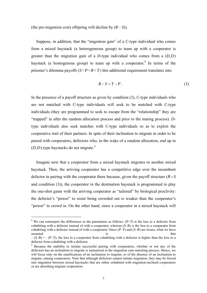(the pre-migration cost) offspring will decline by  $(R - S)$ ).

Suppose, in addition, that the "migration gain" of a *C*-type individual who comes from a mixed haystack (a heterogeneous group) to team up with a cooperator is greater than the migration gain of a *D*-type individual who comes from a (*D*,*D*) haystack (a homogenous group) to team up with a cooperator.<sup>8</sup> In terms of the prisoner's dilemma payoffs  $(S < P < R < T)$  this additional requirement translates into

$$
R-S>T-P.
$$
 (3)

In the presence of a payoff structure as given by condition (3), *C*-type individuals who are not matched with *C*-type individuals will seek to be matched with *C*-type individuals (they are programmed to seek to escape from the "relationship" they are "trapped" in after the random allocation process and prior to the mating process). *D*type individuals also seek matches with *C*-type individuals so as to exploit the cooperative trait of their partners. In spite of their inclination to migrate in order to be paired with cooperators, defectors who, in the wake of a random allocation, end up in  $(D,D)$ -type haystacks do not migrate.<sup>9</sup>

Imagine now that a cooperator from a mixed haystack migrates to another mixed haystack. Then, the arriving cooperator has a competitive edge over the incumbent defector in pairing with the cooperator there because, given the payoff structure (*R*>*S* and condition (3)), the cooperator in the destination haystack is programmed to play the one-shot game with the arriving cooperator as "tailored" by biological proclivity: the defector's "power" to resist being crowded out is weaker than the cooperator's "power" to crowd in. On the other hand, since a cooperator in a mixed haystack will

<sup>&</sup>lt;sup>8</sup> We can reinterpret the differences in the parameters as follows:  $(P-T)$  is the loss to a defector from cohabiting with a defector instead of with a cooperator, whereas (*S*–*R*) is the loss to a cooperator from cohabiting with a defector instead of with a cooperator. Since (*P*–*T*) and (*S*–*R*) are losses, what we have assumed is that the set of  $\overline{a}$  is that that the set of  $\overline{b}$  assumed is that that the set of  $\overline{b}$  assumed is that the set of  $\overline{b}$  as  $\overline{b}$  as  $\overline{b}$  as  $\overline{b}$  as  $\overline{b}$  as  $\overline{b}$  as  $\overline{b}$  as

 $-(S-R)$   $\geq$   $-(P-T)$ ; the loss to a cooperator from cohabiting with a defector is higher than the loss to a defector from cohabiting with a defector.

<sup>&</sup>lt;sup>9</sup> Because the inability to initiate successful pairing with cooperators, whether or not any of the defectors has an inclination to migrate is immaterial in the migration cum matching process. Hence, we will focus only on the ramifications of an inclination to migrate, or of the absence of an inclination to migrate, among cooperators. Note that although defectors cannot initiate migration, they may be forced into migration between mixed haystacks that are either cohabited with migration-inclined cooperators or are absorbing migrant cooperators.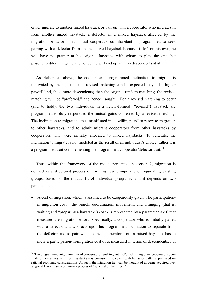either migrate to another mixed haystack or pair up with a cooperator who migrates in from another mixed haystack, a defector in a mixed haystack affected by the migration behavior of its initial cooperator co-inhabitant is programmed to seek pairing with a defector from another mixed haystack because, if left on his own, he will have no partner at his original haystack with whom to play the one-shot prisoner's dilemma game and hence, he will end up with no descendents at all.

As elaborated above, the cooperator's programmed inclination to migrate is motivated by the fact that if a revised matching can be expected to yield a higher payoff (and, thus, more descendents) than the original random matching, the revised matching will be "preferred," and hence "sought." For a revised matching to occur (and to hold), the two individuals in a newly-formed ("revised") haystack are programmed to duly respond to the mutual gains conferred by a revised matching. The inclination to migrate is thus manifested in a "willingness" to resort to migration to other haystacks, and to admit migrant cooperators from other haystacks by cooperators who were initially allocated to mixed haystacks. To reiterate, the inclination to migrate is not modeled as the result of an individual's choice; rather it is a programmed trait complementing the programmed cooperator/defector trait.<sup>10</sup>

Thus, within the framework of the model presented in section 2, migration is defined as a structured process of forming new groups and of liquidating existing groups, based on the mutual fit of individual programs, and it depends on two parameters:

• A cost of migration, which is assumed to be exogenously given. The participationin-migration cost - the search, coordination, movement, and arranging (that is, waiting and "preparing a haystack") cost - is represented by a parameter  $\varepsilon \ge 0$  that measures the migration effort. Specifically, a cooperator who is initially paired with a defector and who acts upon his programmed inclination to separate from the defector and to pair with another cooperator from a mixed haystack has to incur a participation-in-migration cost of  $\varepsilon$ , measured in terms of descendents. Put

<sup>&</sup>lt;sup>10</sup> The programmed migration trait of cooperators - seeking out and/or admitting other cooperators upon finding themselves in mixed haystacks - is consistent, however, with behavior patterns premised on rational economic considerations. As such, the migration trait can be thought of as being acquired over a typical Darwinian evolutionary process of "survival of the fittest."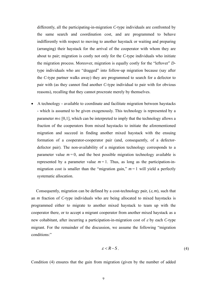differently, all the participating-in-migration *C*-type individuals are confronted by the same search and coordination cost, and are programmed to behave indifferently with respect to moving to another haystack or waiting and preparing (arranging) their haystack for the arrival of the cooperator with whom they are about to pair; migration is costly not only for the *C*-type individuals who initiate the migration process. Moreover, migration is equally costly for the "leftover" *D*type individuals who are "dragged" into follow-up migration because (say after the *C*-type partner walks away) they are programmed to search for a defector to pair with (as they cannot find another *C*-type individual to pair with for obvious reasons), recalling that they cannot procreate merely by themselves.

• A technology **-** available to coordinate and facilitate migration between haystacks **-** which is assumed to be given exogenously. This technology is represented by a parameter  $m \in [0,1]$ , which can be interpreted to imply that the technology allows a fraction of the cooperators from mixed haystacks to initiate the aforementioned migration and succeed in finding another mixed haystack with the ensuing formation of a cooperator-cooperator pair (and, consequently, of a defectordefector pair). The non-availability of a migration technology corresponds to a parameter value  $m = 0$ , and the best possible migration technology available is represented by a parameter value  $m = 1$ . Thus, as long as the participation-inmigration cost is smaller than the "migration gain,"  $m = 1$  will yield a perfectly systematic allocation.

Consequently, migration can be defined by a cost-technology pair,  $(\varepsilon, m)$ , such that an *m* fraction of *C*-type individuals who are being allocated to mixed haystacks is programmed either to migrate to another mixed haystack to team up with the cooperator there, or to accept a migrant cooperator from another mixed haystack as a new cohabitant, after incurring a participation-in-migration cost of <sup>ε</sup> by each *C*-type migrant. For the remainder of the discussion, we assume the following "migration conditions:"

$$
\varepsilon < R - S \tag{4}
$$

Condition (4) ensures that the gain from migration (given by the number of added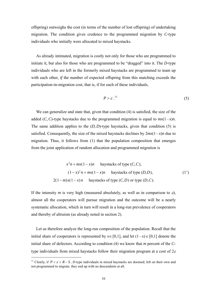offspring) outweighs the cost (in terms of the number of lost offspring) of undertaking migration. The condition gives credence to the programmed migration by *C*-type individuals who initially were allocated to mixed haystacks.

As already intimated, migration is costly not only for those who are programmed to initiate it, but also for those who are programmed to be "dragged" into it. The *D*-type individuals who are left in the formerly mixed haystacks are programmed to team up with each other, *if* the number of expected offspring from this matching exceeds the participation-in-migration cost, that is, if for each of these individuals,

$$
P > \varepsilon^{11} \tag{5}
$$

We can generalize and state that, given that condition (4) is satisfied, the size of the added  $(C, C)$ -type haystacks due to the programmed migration is equal to  $mx(1-x)n$ . The same addition applies to the  $(D, D)$ -type haystacks, given that condition (5) is satisfied. Consequently, the size of the mixed haystacks declines by  $2mx(1-x)n$  due to migration. Thus, it follows from (1) that the population composition that emerges from the joint application of random allocation and programmed migration is

$$
x^{2}n + mx(1-x)n
$$
haystacks of type  $(C, C)$ ,  

$$
(1-x)^{2}n + mx(1-x)n
$$
haystacks of type  $(D, D)$ ,  

$$
2(1-m)x(1-x)n
$$
haystacks of type  $(C, D)$  or type  $(D, C)$ .  

$$
(1')
$$

If the intensity *m* is very high (measured absolutely, as well as in comparison to  $\varepsilon$ ), almost all the cooperators will pursue migration and the outcome will be a nearly systematic allocation, which in turn will result in a long-run prevalence of cooperators and thereby of altruism (as already noted in section 2).

Let us therefore analyze the long-run composition of the population. Recall that the initial share of cooperators is represented by  $x \in [0,1]$ , and let  $(1-x) \in [0,1]$  denote the initial share of defectors. According to condition (4) we know that *m* percent of the *C*type individuals from mixed haystacks follow their migration program at a cost of  $2\varepsilon$ 

<sup>&</sup>lt;sup>11</sup> Clearly, if  $P \le \varepsilon \le R - S$ , *D*-type individuals in mixed hay stacks are doomed; left on their own and not programmed to migrate, they end up with no descendents at all.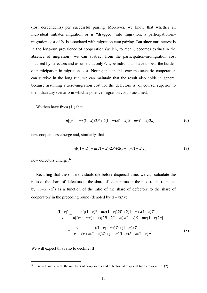(lost descendents) per successful pairing. Moreover, we know that whether an individual initiates migration or is "dragged" into migration, a participation-inmigration cost of  $2\varepsilon$  is associated with migration cum pairing. But since our interest is in the long-run prevalence of cooperation (which, to recall, becomes extinct in the absence of migration), we can abstract from the participation-in-migration cost incurred by defectors and assume that only *C*-type individuals have to bear the burden of participation-in-migration cost. Noting that in this extreme scenario cooperation can survive in the long run, we can maintain that the result also holds in general because assuming a zero-migration cost for the defectors is, of course, superior to them than any scenario in which a positive migration cost is assumed.

We then have from  $(1')$  that

$$
n[(x^{2} + mx(1-x))2R + 2(1-m)x(1-x)S - mx(1-x)2\varepsilon]
$$
\n(6)

new cooperators emerge and, similarly, that

$$
n[( (1-x)^2 + mx(1-x) ) 2P + 2(1-m)x(1-x)T ] \tag{7}
$$

new defectors emerge.12

Recalling that the old individuals die before dispersal time, we can calculate the ratio of the share of defectors to the share of cooperators in the next round (denoted by  $(1-x)' / x'$  as a function of the ratio of the share of defectors to the share of cooperators in the preceding round (denoted by  $(1-x)/x$ ):

$$
\frac{(1-x)'}{x'} = \frac{n[((1-x)^2 + mx(1-x))2P + 2(1-m)x(1-x)T]}{n[(x^2 + mx(1-x))2R + 2(1-m)x(1-x)S - mx(1-x)2\varepsilon]}
$$

$$
= \frac{1-x}{x} \cdot \frac{((1-x) + mx)P + (1-m)xT}{(x+m(1-x))R + (1-m)(1-x)S - m(1-x)\varepsilon}.
$$
(8)

We will expect this ratio to decline iff

<sup>&</sup>lt;sup>12</sup> If  $m = 1$  and  $\varepsilon = 0$ , the numbers of cooperators and defectors at dispersal time are as in Eq. (2).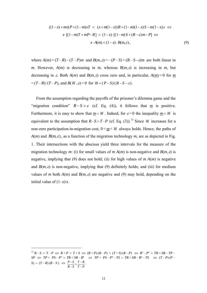$$
((1-x)+mx)P + (1-m)xT < (x+m(1-x))R + (1-m)(1-x)S - m(1-x)\varepsilon \Leftrightarrow
$$
  

$$
x \cdot [(1-m)T + mP - R] < (1-x) \cdot [(1-m)S + (R-\varepsilon)m - P] \Leftrightarrow
$$
  

$$
x \cdot A(m) < (1-x) \cdot B(m,\varepsilon),
$$
 (9)

where  $A(m) = (T - R) - (T - P)m$  and  $B(m, \varepsilon) = -(P - S) + (R - S - \varepsilon)m$  are both linear in *m*. However,  $A(m)$  is decreasing in *m*, whereas  $B(m, \varepsilon)$  is increasing in *m*, but decreasing in  $\varepsilon$ . Both  $A(m)$  and  $B(m,\varepsilon)$  cross zero and, in particular,  $A(m)=0$  for *m*  $\overline{F} = (T - R)/(T - P)$ , and  $B(\overline{m}, \varepsilon) = 0$  for  $\overline{m} = (P - S)/(R - S - \varepsilon)$ .

From the assumption regarding the payoffs of the prisoner's dilemma game and the "migration condition"  $R-S > \varepsilon$  (cf. Eq. (4)), it follows that <u>m</u> is positive. Furthermore, it is easy to show that  $m < \overline{m}$ . Indeed, for  $\varepsilon = 0$  the inequality  $m < \overline{m}$  is equivalent to the assumption that  $R-S>T-P$  (cf. Eq. (3)).<sup>13</sup> Since  $\overline{m}$  increases for a non-zero participation-in-migration cost,  $0 \le m \le \overline{m}$  always holds. Hence, the paths of  $A(m)$  and  $B(m,\varepsilon)$ , as a function of the migration technology *m*, are as depicted in Fig. 1. Their intersections with the abscissa yield three intervals for the measure of the migration technology *m*: (i) for small values of *m*  $A(m)$  is non-negative and  $B(m, \varepsilon)$  is negative, implying that (9) does not hold; (ii) for high values of  $m A(m)$  is negative and  $B(m, \varepsilon)$  is non-negative, implying that (9) definitely holds; and (iii) for medium values of *m* both  $A(m)$  and  $B(m, \varepsilon)$  are negative and (9) may hold, depending on the initial value of  $(1-x)/x$ .

 $^{13}R-S > T-P \Leftrightarrow R+P > T+S \Leftrightarrow (R+P)(R-P) > (T+S)(R-P) \Leftrightarrow R^2-P^2 > TR+SR-TP-P$  $SP \Leftrightarrow TP + PS - P^2 > TR + SR - R^2 \Leftrightarrow TP + PS - P^2 - TS > TR + SR - R^2 - TS \Leftrightarrow (T - P)(P - P^2 - TS)$  $(S) > (T-R)(R-S) \iff \frac{P-S}{R-S} > \frac{T-R}{T-P}$ *R S P S*  $\frac{-S}{-S} > \frac{T-R}{T-P}$ .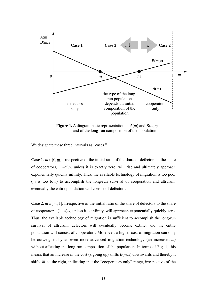

**Figure 1.** A diagrammatic representation of *A*(*m*) and *B*(*m*,ε), and of the long-run composition of the population

We designate these three intervals as "cases."

**Case 1**.  $m \in [0, m]$ . Irrespective of the initial ratio of the share of defectors to the share of cooperators,  $(1-x)/x$ , unless it is exactly zero, will rise and ultimately approach exponentially quickly infinity. Thus, the available technology of migration is too poor (*m* is too low) to accomplish the long-run survival of cooperation and altruism; eventually the entire population will consist of defectors.

**Case 2**.  $m \in [\overline{m}, 1]$ . Irrespective of the initial ratio of the share of defectors to the share of cooperators,  $(1-x)/x$ , unless it is infinity, will approach exponentially quickly zero. Thus, the available technology of migration is sufficient to accomplish the long-run survival of altruism; defectors will eventually become extinct and the entire population will consist of cooperators. Moreover, a higher cost of migration can only be outweighed by an even more advanced migration technology (an increased *m*) without affecting the long-run composition of the population. In terms of Fig. 1, this means that an increase in the cost ( $\varepsilon$  going up) shifts  $B(m,\varepsilon)$  downwards and thereby it shifts  $\overline{m}$  to the right, indicating that the "cooperators only" range, irrespective of the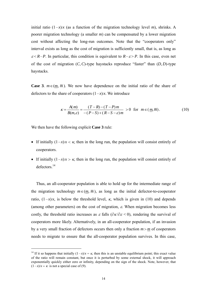initial ratio  $(1-x)/x$  (as a function of the migration technology level *m*), shrinks. A poorer migration technology (a smaller *m*) can be compensated by a lower migration cost without affecting the long-run outcomes. Note that the "cooperators only" interval exists as long as the cost of migration is sufficiently small, that is, as long as  $\varepsilon$ <R–*P*. In particular, this condition is equivalent to  $R-\varepsilon$ >*P*. In this case, even net of the cost of migration (*C*,*C*)-type haystacks reproduce "faster" than (*D*, *D*)-type haystacks.

**Case 3**.  $m \in (m, \overline{m})$ . We now have dependence on the initial ratio of the share of defectors to the share of cooperators  $(1-x)/x$ . We introduce

$$
\kappa = \frac{A(m)}{B(m,\varepsilon)} = \frac{(T-R) - (T-P)m}{-(P-S) + (R-S-\varepsilon)m} > 0 \text{ for } m \in (\underline{m}, \overline{m}).
$$
 (10)

We then have the following explicit **Case 3** rule:

 $\overline{a}$ 

- If initially  $(1-x)/x < \kappa$ , then in the long run, the population will consist entirely of cooperators.
- If initially  $(1-x)/x > \kappa$ , then in the long run, the population will consist entirely of defectors.14

Thus, an all-cooperator population is able to hold up for the intermediate range of the migration technology  $m \in (m, \overline{m})$ , as long as the initial defector-to-cooperator ratio,  $(1-x)/x$ , is below the threshold level,  $\kappa$ , which is given in (10) and depends (among other parameters) on the cost of migration,  $\varepsilon$ . When migration becomes less costly, the threshold ratio increases as  $\varepsilon$  falls ( $\partial \kappa / \partial \varepsilon < 0$ ), rendering the survival of cooperators more likely. Alternatively, in an all-cooperator population, if an invasion by a very small fraction of defectors occurs then only a fraction  $m > m$  of cooperators needs to migrate to ensure that the all-cooperator population survives. In this case,

<sup>&</sup>lt;sup>14</sup> If it so happens that initially  $(1-x)/x = \kappa$ , then this is an unstable equilibrium point; this exact value of the ratio will remain constant, but once it is perturbed by some external shock, it will approach exponentially quickly either zero or infinity, depending on the sign of the shock. Note, however, that  $(1-x)/x = \kappa$  is not a special case of (9).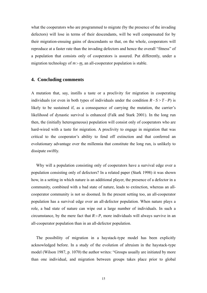what the cooperators who are programmed to migrate (by the presence of the invading defectors) will lose in terms of their descendants, will be well compensated for by their migration-ensuing gains of descendants so that, on the whole, cooperators will reproduce at a faster rate than the invading defectors and hence the overall "fitness" of a population that consists only of cooperators is assured. Put differently, under a migration technology of  $m > m$ , an all-cooperator population is stable.

#### **4. Concluding comments**

A mutation that, say, instills a taste or a proclivity for migration in cooperating individuals (or even in both types of individuals under the condition  $R-S>T-P$ ) is likely to be sustained if, as a consequence of carrying the mutation, the carrier's likelihood of dynastic survival is enhanced (Falk and Stark 2001). In the long run then, the (initially heterogeneous) population will consist only of cooperators who are hard-wired with a taste for migration. A proclivity to engage in migration that was critical to the cooperator's ability to fend off extinction and that conferred an evolutionary advantage over the millennia that constitute the long run, is unlikely to dissipate swiftly.

Why will a population consisting only of cooperators have a survival edge over a population consisting only of defectors? In a related paper (Stark 1998) it was shown how, in a setting in which nature is an additional player, the presence of a defector in a community, combined with a bad state of nature, leads to extinction, whereas an allcooperator community is not so doomed. In the present setting too, an all-cooperator population has a survival edge over an all-defector population. When nature plays a role, a bad state of nature can wipe out a large number of individuals. In such a circumstance, by the mere fact that  $R > P$ , more individuals will always survive in an all-cooperator population than in an all-defector population.

The possibility of migration in a haystack-type model has been explicitly acknowledged before. In a study of the evolution of altruism in the haystack-type model (Wilson 1987, p. 1070) the author writes: "Groups usually are initiated by more than one individual, and migration between groups takes place prior to global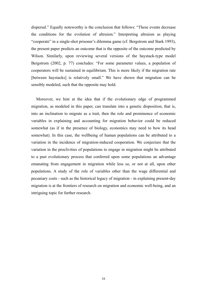dispersal." Equally noteworthy is the conclusion that follows: "These events decrease the conditions for the evolution of altruism." Interpreting altruism as playing "cooperate" in a single-shot prisoner's dilemma game (cf. Bergstrom and Stark 1993), the present paper predicts an outcome that is the opposite of the outcome predicted by Wilson. Similarly, upon reviewing several versions of the haystack-type model Bergstrom (2002, p. 77) concludes: "For some parameter values, a population of cooperators will be sustained in equilibrium. This is more likely if the migration rate [between haystacks] is relatively small." We have shown that migration can be sensibly modeled, such that the opposite may hold.

Moreover, we hint at the idea that if the evolutionary edge of programmed migration, as modeled in this paper, can translate into a genetic disposition, that is, into an inclination to migrate as a trait, then the role and prominence of economic variables in explaining and accounting for migration behavior could be reduced somewhat (as if in the presence of biology, economics may need to bow its head somewhat). In this case, the wellbeing of human populations can be attributed to a variation in the incidence of migration-induced cooperation. We conjecture that the variation in the proclivities of populations to engage in migration might be attributed to a past evolutionary process that conferred upon some populations an advantage emanating from engagement in migration while less so, or not at all, upon other populations. A study of the role of variables other than the wage differential and pecuniary costs - such as the historical legacy of migration - in explaining present-day migration is at the frontiers of research on migration and economic well-being, and an intriguing topic for further research.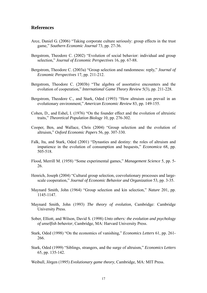### **References**

- Arce, Daniel G. (2006) "Taking corporate culture seriously: group effects in the trust game," *Southern Economic Journal* 73, pp. 27-36.
- Bergstrom, Theodore C. (2002) "Evolution of social behavior: individual and group selection," *Journal of Economic Perspectives* 16, pp. 67-88.
- Bergstrom, Theodore C. (2003a) "Group selection and randomness: reply," *Journal of Economic Perspectives* 17, pp. 211-212.
- Bergstrom, Theodore C. (2003b) "The algebra of assortative encounters and the evolution of cooperation," *International Game Theory Review* 5(3), pp. 211-228.
- Bergstrom, Theodore C., and Stark, Oded (1993) "How altruism can prevail in an evolutionary environment," *American Economic Review* 83, pp. 149-155.
- Cohen, D., and Eshel, I. (1976) "On the founder effect and the evolution of altruistic traits," *Theoretical Population Biology* 10, pp. 276-302.
- Cooper, Ben, and Wallace, Chris (2004) "Group selection and the evolution of altruism," *Oxford Economic Papers* 56, pp. 307-330.
- Falk, Ita, and Stark, Oded (2001) "Dynasties and destiny: the roles of altruism and impatience in the evolution of consumption and bequests," *Economica* 68, pp. 505-518.
- Flood, Merrill M. (1958) "Some experimental games," *Management Science* 5, pp. 5- 26.
- Henrich, Joseph (2004) "Cultural group selection, coevolutionary processes and largescale cooperation," *Journal of Economic Behavior and Organization* 53, pp. 3-35.
- Maynard Smith, John (1964) "Group selection and kin selection," *Nature* 201, pp. 1145-1147.
- Maynard Smith, John (1993) *The theory of evolution,* Cambridge: Cambridge University Press.
- Sober, Elliott, and Wilson, David S. (1998) *Unto others: the evolution and psychology of unselfish behavior*, Cambridge, MA: Harvard University Press.
- Stark, Oded (1998) "On the economics of vanishing," *Economics Letters* 61, pp. 261- 266.
- Stark, Oded (1999) "Siblings, strangers, and the surge of altruism," *Economics Letters* 65, pp. 135-142.

Weibull, Jörgen (1995) *Evolutionary game theory*, Cambridge, MA: MIT Press.